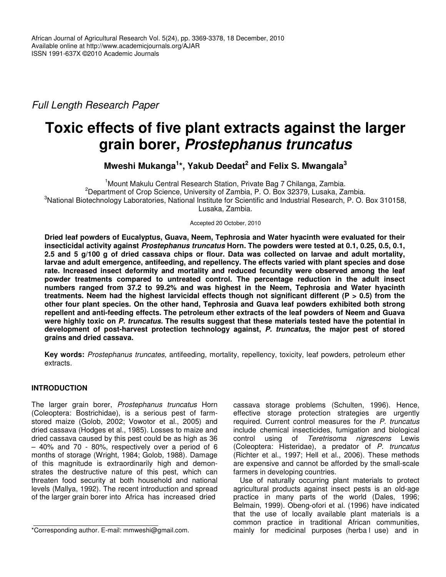*Full Length Research Paper*

# **Toxic effects of five plant extracts against the larger grain borer,** *Prostephanus truncatus*

**Mweshi Mukanga 1 \*, Yakub Deedat 2 and Felix S. Mwangala 3**

<sup>1</sup> Mount Makulu Central Research Station, Private Bag 7 Chilanga, Zambia. <sup>2</sup>Department of Crop Science, University of Zambia, P. O. Box 32379, Lusaka, Zambia.  ${}^{3}$ National Biotechnology Laboratories, National Institute for Scientific and Industrial Research, P. O. Box 310158, Lusaka, Zambia.

Accepted 20 October, 2010

**Dried leaf powders of Eucalyptus, Guava, Neem, Tephrosia and Water hyacinth were evaluated for their insecticidal activity against** *Prostephanus truncatus* **Horn. The powders were tested at 0.1, 0.25, 0.5, 0.1,** 2.5 and 5 g/100 g of dried cassava chips or flour. Data was collected on larvae and adult mortality, **larvae and adult emergence, antifeeding, and repellency. The effects varied with plant species and dose rate. Increased insect deformity and mortality and reduced fecundity were observed among the leaf powder treatments compared to untreated control. The percentage reduction in the adult insect numbers ranged from 37.2 to 99.2% and was highest in the Neem, Tephrosia and Water hyacinth treatments. Neem had the highest larvicidal effects though not significant different (P > 0.5) from the other four plant species. On the other hand, Tephrosia and Guava leaf powders exhibited both strong repellent and anti-feeding effects. The petroleum ether extracts of the leaf powders of Neem and Guava were highly toxic on** *P. truncatus.* **The results suggest that these materials tested have the potential in development of post-harvest protection technology against,** *P. truncatus,* **the major pest of stored grains and dried cassava.**

**Key words:** *Prostephanus truncates,* antifeeding, mortality, repellency, toxicity, leaf powders, petroleum ether extracts.

# **INTRODUCTION**

The larger grain borer, *Prostephanus truncatus* Horn (Coleoptera: Bostrichidae), is a serious pest of farmstored maize (Golob, 2002; Vowotor et al., 2005) and dried cassava (Hodges et al., 1985). Losses to maize and dried cassava caused by this pest could be as high as 36 – 40% and 70 - 80%, respectively over a period of 6 months of storage (Wright, 1984; Golob, 1988). Damage of this magnitude is extraordinarily high and demonstrates the destructive nature of this pest, which can threaten food security at both household and national levels (Mallya, 1992). The recent introduction and spread of the larger grain borer into Africa has increased dried

cassava storage problems (Schulten, 1996). Hence, effective storage protection strategies are urgently required. Current control measures for the *P. truncatus* include chemical insecticides, fumigation and biological control using of *Teretrisoma nigrescens* Lewis (Coleoptera: Histeridae), a predator of *P. truncatus* (Richter et al., 1997; Hell et al., 2006). These methods are expensive and cannot be afforded by the small-scale farmers in developing countries.

Use of naturally occurring plant materials to protect agricultural products against insect pests is an old-age practice in many parts of the world (Dales, 1996; Belmain, 1999). Obeng-ofori et al. (1996) have indicated that the use of locally available plant materials is a common practice in traditional African communities, mainly for medicinal purposes (herba l use) and in

<sup>\*</sup>Corresponding author. E-mail: mmweshi@gmail.com.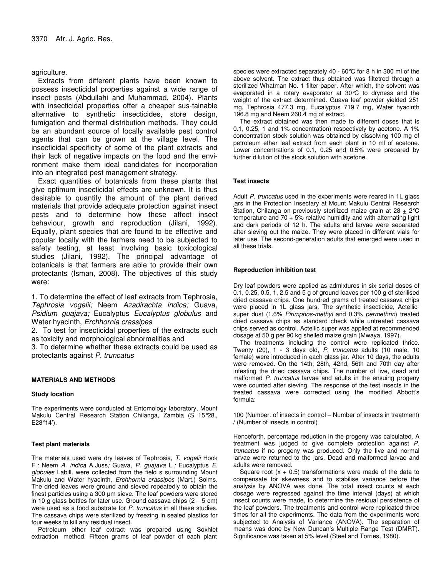## agriculture.

Extracts from different plants have been known to possess insecticidal properties against a wide range of insect pests (Abdullahi and Muhammad, 2004). Plants with insecticidal properties offer a cheaper sus-tainable alternative to synthetic insecticides, store design, fumigation and thermal distribution methods. They could be an abundant source of locally available pest control agents that can be grown at the village level. The insecticidal specificity of some of the plant extracts and their lack of negative impacts on the food and the environment make them ideal candidates for incorporation into an integrated pest management strategy.

Exact quantities of botanicals from these plants that give optimum insecticidal effects are unknown. It is thus desirable to quantify the amount of the plant derived materials that provide adequate protection against insect pests and to determine how these affect insect behaviour, growth and reproduction (Jilani, 1992). Equally, plant species that are found to be effective and popular locally with the farmers need to be subjected to safety testing, at least involving basic toxicological studies (Jilani, 1992). The principal advantage of botanicals is that farmers are able to provide their own protectants (Isman, 2008). The objectives of this study were:

1. To determine the effect of leaf extracts from Tephrosia, *Tephrosia vogelii;* Neem *Azadirachta indica;* Guava, *Psidium guajava;* Eucalyptus *Eucalyptus globulus* and Water hyacinth, *Erchhornia crassipes*

2. To test for insecticidal properties of the extracts such as toxicity and morphological abnormalities and

3. To determine whether these extracts could be used as protectants against *P. truncatus*

## **MATERIALS AND METHODS**

## **Study location**

The experiments were conducted at Entomology laboratory, Mount Makulu Central Research Station Chilanga, Zambia (S 15°28', E28°14').

## **Test plant materials**

The materials used were dry leaves of Tephrosia, *T. vogelii* Hook F.*;* Neem *A. indica* A.Juss*;* Guava, *P. guajava* L.*;* Eucalyptus *E. globules* Labill. were collected from the field s surrounding Mount Makulu and Water hyacinth, *Erchhornia crassipes* (Mart.) Solms. The dried leaves were ground and sieved repeatedly to obtain the finest particles using a 300 µm sieve. The leaf powders were stored in 10 g glass bottles for later use. Ground cassava chips  $(2 - 5 \text{ cm})$ were used as a food substrate for *P. truncatus* in all these studies. The cassava chips were sterilized by freezing in sealed plastics for four weeks to kill any residual insect.

Petroleum ether leaf extract was prepared using Soxhlet extraction method. Fifteen grams of leaf powder of each plant species were extracted separately 40 - 60°C for 8 h in 300 ml of the above solvent. The extract thus obtained was filtetred through a sterilized Whatman No. 1 filter paper. After which, the solvent was evaporated in a rotary evaporator at 30°C to dryness and the weight of the extract determined. Guava leaf powder yielded 251 mg, Tephrosia 477.3 mg, Eucalyptus 719.7 mg, Water hyacinth 196.8 mg and Neem 260.4 mg of extract.

The extract obtained was then made to different doses that is 0.1, 0.25, 1 and 1% concentration) respectively by acetone. A 1% concentration stock solution was obtained by dissolving 100 mg of petroleum ether leaf extract from each plant in 10 ml of acetone. Lower concentrations of 0.1, 0.25 and 0.5% were prepared by further dilution of the stock solution with acetone.

## **Test insects**

Adult *P. truncatus* used in the experiments were reared in 1L glass jars in the Protection Insectary at Mount Makulu Central Research Station, Chilanga on previously sterilized maize grain at 28  $\pm$  2°C temperature and 70  $\pm$  5% relative humidity and with alternating light and dark periods of 12 h. The adults and larvae were separated after sieving out the maize. They were placed in different vials for later use. The second-generation adults that emerged were used in all these trials.

## **Reproduction inhibition test**

Dry leaf powders were applied as admixtures in six serial doses of 0.1, 0.25, 0.5, 1, 2.5 and 5 g of ground leaves per 100 g of sterilised dried cassava chips. One hundred grams of treated cassava chips were placed in 1L glass jars. The synthetic insecticide, Actellicsuper dust (1.6% *Pirimphos-methyl* and 0.3% *permethrin*) treated dried cassava chips as standard check while untreated cassava chips served as control. Actellic super was applied at recommended dosage at 50 g per 90 kg shelled maize grain (Mwaya, 1997).

The treatments including the control were replicated thrice. Twenty (20), 1 - 3 days old, *P. truncatus* adults (10 male, 10 female) were introduced in each glass jar. After 10 days, the adults were removed. On the 14th, 28th, 42nd, 56th and 70th day after infesting the dried cassava chips. The number of live, dead and malformed *P. truncatus* larvae and adults in the ensuing progeny were counted after sieving. The response of the test insects in the treated cassava were corrected using the modified Abbott's formula:

100 (Number. of insects in control – Number of insects in treatment) / (Number of insects in control)

Henceforth, percentage reduction in the progeny was calculated. A treatment was judged to give complete protection against *P. truncatus* if no progeny was produced. Only the live and normal larvae were returned to the jars. Dead and malformed larvae and adults were removed.

Square root  $(x + 0.5)$  transformations were made of the data to compensate for skewness and to stabilise variance before the analysis by ANOVA was done. The total insect counts at each dosage were regressed against the time interval (days) at which insect counts were made, to determine the residual persistence of the leaf powders. The treatments and control were replicated three times for all the experiments. The data from the experiments were subjected to Analysis of Variance (ANOVA). The separation of means was done by New Duncan's Multiple Range Test (DMRT). Significance was taken at 5% level (Steel and Torries, 1980).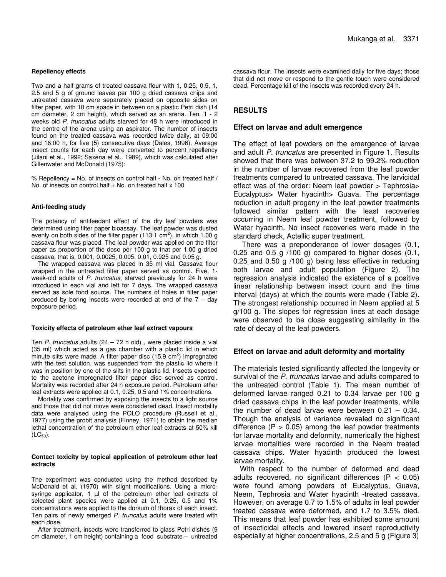## **Repellency effects**

Two and a half grams of treated cassava flour with 1, 0.25, 0.5, 1, 2.5 and 5 g of ground leaves per 100 g dried cassava chips and untreated cassava were separately placed on opposite sides on filter paper, with 10 cm space in between on a plastic Petri dish (14 cm diameter, 2 cm height), which served as an arena. Ten, 1 - 2 weeks old *P. truncatus* adults starved for 48 h were introduced in the centre of the arena using an aspirator. The number of insects found on the treated cassava was recorded twice daily, at 09:00 and 16:00 h, for five (5) consecutive days (Dales, 1996). Average insect counts for each day were converted to percent repellency (Jilani et al., 1992; Saxena et al.*,* 1989), which was calculated after Gillenwater and McDonald (1975):

% Repellency = No. of insects on control half - No. on treated half / No. of insects on control half  $+$  No. on treated half  $\times$  100

#### **Anti-feeding study**

The potency of antifeedant effect of the dry leaf powders was determined using filter paper bioassay. The leaf powder was dusted evenly on both sides of the filter paper (113.1  $\text{cm}^2$ ), in which 1.00 g cassava flour was placed. The leaf powder was applied on the filter paper as proportion of the dose per 100 g to that per 1.00 g dried cassava, that is, 0.001, 0.0025, 0.005, 0.01, 0.025 and 0.05 g.

The wrapped cassava was placed in 35 ml vial. Cassava flour wrapped in the untreated filter paper served as control. Five, 1 week-old adults of *P. truncatus*, starved previously for 24 h were introduced in each vial and left for 7 days. The wrapped cassava served as sole food source. The numbers of holes in filter paper produced by boring insects were recorded at end of the 7 – day exposure period.

#### **Toxicity effects of petroleum ether leaf extract vapours**

Ten *P. truncatus* adults (24 – 72 h old) , were placed inside a vial (35 ml) which acted as a gas chamber with a plastic lid in which minute slits were made. A filter paper disc (15.9  $\text{cm}^2$ ) impregnated with the test solution, was suspended from the plastic lid where it was in position by one of the slits in the plastic lid. Insects exposed to the acetone impregnated filter paper disc served as control. Mortality was recorded after 24 h exposure period. Petroleum ether leaf extracts were applied at 0.1, 0.25, 0.5 and 1% concentrations.

Mortality was confirmed by exposing the insects to a light source and those that did not move were considered dead. Insect mortality data were analysed using the POLO procedure (Russell et al*.*, 1977) using the probit analysis (Finney, 1971) to obtain the median lethal concentration of the petroleum ether leaf extracts at 50% kill  $(LC_{50})$ .

#### **Contact toxicity by topical application of petroleum ether leaf extracts**

The experiment was conducted using the method described by McDonald et al. (1970) with slight modifications. Using a microsyringe applicator, 1 µl of the petroleum ether leaf extracts of selected plant species were applied at 0.1, 0.25, 0.5 and 1% concentrations were applied to the dorsum of thorax of each insect. Ten pairs of newly emerged *P. truncatus* adults were treated with each dose.

After treatment, insects were transferred to glass Petri-dishes (9 cm diameter, 1 cm height) containing a food substrate – untreated cassava flour. The insects were examined daily for five days; those that did not move or respond to the gentle touch were considered dead. Percentage kill of the insects was recorded every 24 h.

## **RESULTS**

#### **Effect on larvae and adult emergence**

The effect of leaf powders on the emergence of larvae and adult *P. truncatus* are presented in Figure 1. Results showed that there was between 37.2 to 99.2% reduction in the number of larvae recovered from the leaf powder treatments compared to untreated cassava. The larvicidal effect was of the order: Neem leaf powder > Tephrosia> Eucalyptus> Water hyacinth> Guava. The percentage reduction in adult progeny in the leaf powder treatments followed similar pattern with the least recoveries occurring in Neem leaf powder treatment, followed by Water hyacinth. No insect recoveries were made in the standard check, Actellic super treatment.

There was a preponderance of lower dosages (0.1, 0.25 and 0.5 g  $/100$  g) compared to higher doses  $(0.1, 1)$ 0.25 and 0.50 g /100 g) being less effective in reducing both larvae and adult population (Figure 2). The regression analysis indicated the existence of a positive linear relationship between insect count and the time interval (days) at which the counts were made (Table 2). The strongest relationship occurred in Neem applied at 5 g/100 g. The slopes for regression lines at each dosage were observed to be close suggesting similarity in the rate of decay of the leaf powders.

## **Effect on larvae and adult deformity and mortality**

The materials tested significantly affected the longevity or survival of the *P. truncatus* larvae and adults compared to the untreated control (Table 1). The mean number of deformed larvae ranged 0.21 to 0.34 larvae per 100 g dried cassava chips in the leaf powder treatments, while the number of dead larvae were between 0.21 – 0.34. Though the analysis of variance revealed no significant difference  $(P > 0.05)$  among the leaf powder treatments for larvae mortality and deformity, numerically the highest larvae mortalities were recorded in the Neem treated cassava chips. Water hyacinth produced the lowest larvae mortality.

With respect to the number of deformed and dead adults recovered, no significant differences ( $P < 0.05$ ) were found among powders of Eucalyptus, Guava, Neem, Tephrosia and Water hyacinth -treated cassava. However, on average 0.7 to 1.5% of adults in leaf powder treated cassava were deformed, and 1.7 to 3.5% died. This means that leaf powder has exhibited some amount of insecticidal effects and lowered insect reproductivity especially at higher concentrations, 2.5 and 5 g (Figure 3)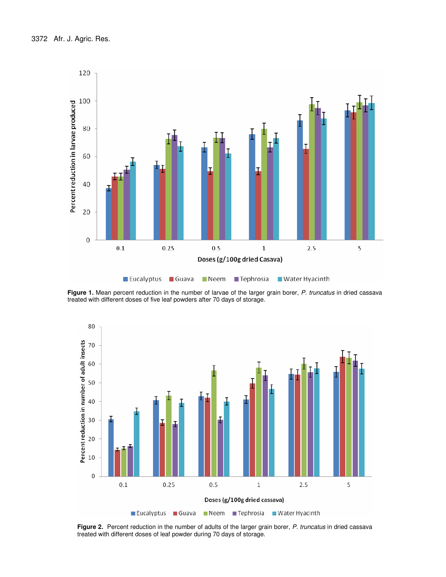

**Figure 1.** Mean percent reduction in the number of larvae of the larger grain borer, *P. truncatus* in dried cassava treated with different doses of five leaf powders after 70 days of storage.



**Figure 2.** Percent reduction in the number of adults of the larger grain borer, *P. truncatus* in dried cassava treated with different doses of leaf powder during 70 days of storage.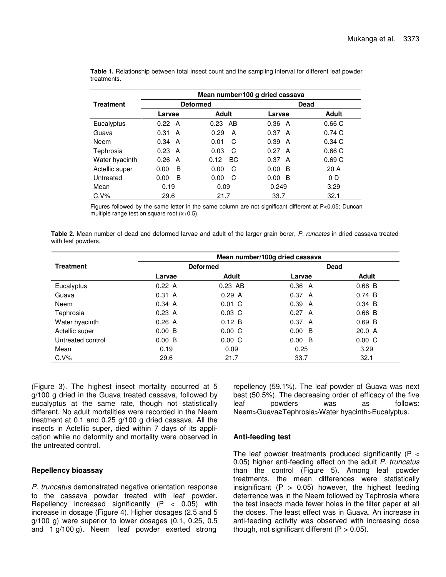|                  | Mean number/100 g dried cassava |                   |           |       |  |
|------------------|---------------------------------|-------------------|-----------|-------|--|
| <b>Treatment</b> |                                 | <b>Deformed</b>   | Dead      |       |  |
|                  | Larvae                          | <b>Adult</b>      | Larvae    | Adult |  |
| Eucalyptus       | 0.22 A                          | AB<br>0.23        | 0.36<br>A | 0.66C |  |
| Guava            | 0.31<br>A                       | 0.29<br>A         | 0.37<br>A | 0.74C |  |
| <b>Neem</b>      | 0.34<br>A                       | C<br>0.01         | 0.39<br>A | 0.34C |  |
| Tephrosia        | 0.23<br>A                       | 0.03<br>C         | 0.27<br>A | 0.66C |  |
| Water hyacinth   | 0.26<br>A                       | 0.12<br><b>BC</b> | 0.37<br>A | 0.69C |  |
| Actellic super   | B<br>0.00                       | 0.00<br>C         | 0.00<br>B | 20A   |  |
| Untreated        | B<br>0.00                       | 0.00<br>C         | 0.00<br>B | 0 D   |  |
| Mean             | 0.19                            | 0.09              | 0.249     | 3.29  |  |
| $C.V\%$          | 29.6                            | 21.7              | 33.7      | 32.1  |  |

**Table 1.** Relationship between total insect count and the sampling interval for different leaf powder treatments.

Figures followed by the same letter in the same column are not significant different at P<0.05; Duncan multiple range test on square root (x+0.5).

**Table 2.** Mean number of dead and deformed larvae and adult of the larger grain borer, *P. runcates* in dried cassava treated with leaf powders.

|                   | Mean number/100g dried cassava |             |             |              |  |
|-------------------|--------------------------------|-------------|-------------|--------------|--|
| <b>Treatment</b>  | <b>Deformed</b>                |             | <b>Dead</b> |              |  |
|                   | Larvae                         | Adult       | Larvae      | <b>Adult</b> |  |
| Eucalyptus        | 0.22 A                         | $0.23$ AB   | 0.36<br>A   | $0.66\ B$    |  |
| Guava             | 0.31 A                         | 0.29 A      | 0.37 A      | 0.74 B       |  |
| Neem              | 0.34 A                         | $0.01 \, C$ | 0.39<br>A   | $0.34\,B$    |  |
| Tephrosia         | 0.23 A                         | $0.03\,C$   | 0.27 A      | $0.66\ B$    |  |
| Water hyacinth    | 0.26A                          | 0.12 B      | 0.37 A      | $0.69$ B     |  |
| Actellic super    | 0.00 B                         | $0.00\,C$   | 0.00<br>B   | 20.0 A       |  |
| Untreated control | 0.00 B                         | $0.00\,C$   | 0.00<br>B   | $0.00\,C$    |  |
| Mean              | 0.19                           | 0.09        | 0.25        | 3.29         |  |
| $C.V\%$           | 29.6                           | 21.7        | 33.7        | 32.1         |  |

(Figure 3). The highest insect mortality occurred at 5 g/100 g dried in the Guava treated cassava, followed by eucalyptus at the same rate, though not statistically different. No adult mortalities were recorded in the Neem treatment at 0.1 and 0.25 g/100 g dried cassava. All the insects in Actellic super, died within 7 days of its application while no deformity and mortality were observed in the untreated control.

# **Repellency bioassay**

*P. truncatus* demonstrated negative orientation response to the cassava powder treated with leaf powder. Repellency increased significantly (P < 0.05) with increase in dosage (Figure 4). Higher dosages (2.5 and 5 g/100 g) were superior to lower dosages (0.1, 0.25, 0.5 and 1 g/100 g). Neem leaf powder exerted strong

repellency (59.1%). The leaf powder of Guava was next best (50.5%). The decreasing order of efficacy of the five leaf powders was as follows: Neem>Guava≥Tephrosia>Water hyacinth>Eucalyptus.

# **Anti-feeding test**

The leaf powder treatments produced significantly  $(P <$ 0.05) higher anti-feeding effect on the adult *P. truncatus* than the control (Figure 5). Among leaf powder treatments, the mean differences were statistically insignificant ( $P > 0.05$ ) however, the highest feeding deterrence was in the Neem followed by Tephrosia where the test insects made fewer holes in the filter paper at all the doses. The least effect was in Guava. An increase in anti-feeding activity was observed with increasing dose though, not significant different  $(P > 0.05)$ .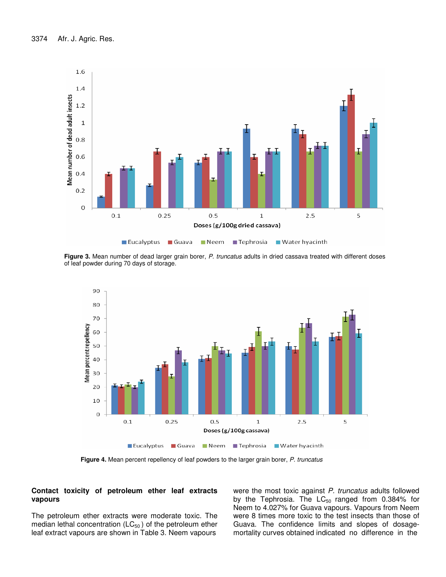

**Figure 3.** Mean number of dead larger grain borer, *P. truncatus* adults in dried cassava treated with different doses of leaf powder during 70 days of storage.



**Figure 4.** Mean percent repellency of leaf powders to the larger grain borer, *P. truncatus*

## **Contact toxicity of petroleum ether leaf extracts vapours**

The petroleum ether extracts were moderate toxic. The median lethal concentration  $(LC_{50})$  of the petroleum ether leaf extract vapours are shown in Table 3. Neem vapours

were the most toxic against *P. truncatus* adults followed by the Tephrosia. The  $LC_{50}$  ranged from 0.384% for Neem to 4.027% for Guava vapours. Vapours from Neem were 8 times more toxic to the test insects than those of Guava. The confidence limits and slopes of dosagemortality curves obtained indicated no difference in the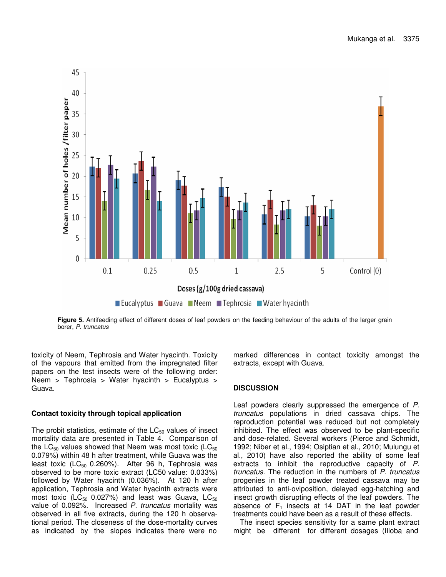

**Figure 5.** Antifeeding effect of different doses of leaf powders on the feeding behaviour of the adults of the larger grain borer, *P. truncatus*

toxicity of Neem, Tephrosia and Water hyacinth. Toxicity of the vapours that emitted from the impregnated filter papers on the test insects were of the following order: Neem > Tephrosia > Water hyacinth > Eucalyptus > Guava.

## **Contact toxicity through topical application**

The probit statistics, estimate of the  $LC_{50}$  values of insect mortality data are presented in Table 4. Comparison of the  $LC_{50}$  values showed that Neem was most toxic (LC $_{50}$ ) 0.079%) within 48 h after treatment, while Guava was the least toxic (LC $_{50}$  0.260%). After 96 h, Tephrosia was observed to be more toxic extract (LC50 value: 0.033%) followed by Water hyacinth (0.036%). At 120 h after application, Tephrosia and Water hyacinth extracts were most toxic ( $\mathsf{LC}_{50}$  0.027%) and least was Guava,  $\mathsf{LC}_{50}$ value of 0.092%. Increased *P. truncatus* mortality was observed in all five extracts, during the 120 h observational period. The closeness of the dose-mortality curves as indicated by the slopes indicates there were no

marked differences in contact toxicity amongst the extracts, except with Guava.

# **DISCUSSION**

Leaf powders clearly suppressed the emergence of *P. truncatus* populations in dried cassava chips. The reproduction potential was reduced but not completely inhibited. The effect was observed to be plant-specific and dose-related. Several workers (Pierce and Schmidt, 1992; Niber et al., 1994; Osiptian et al., 2010; Mulungu et al., 2010) have also reported the ability of some leaf extracts to inhibit the reproductive capacity of *P. truncatus*. The reduction in the numbers of *P. truncatus* progenies in the leaf powder treated cassava may be attributed to anti-oviposition, delayed egg-hatching and insect growth disrupting effects of the leaf powders. The absence of  $F_1$  insects at 14 DAT in the leaf powder treatments could have been as a result of these effects.

The insect species sensitivity for a same plant extract might be different for different dosages (Illoba and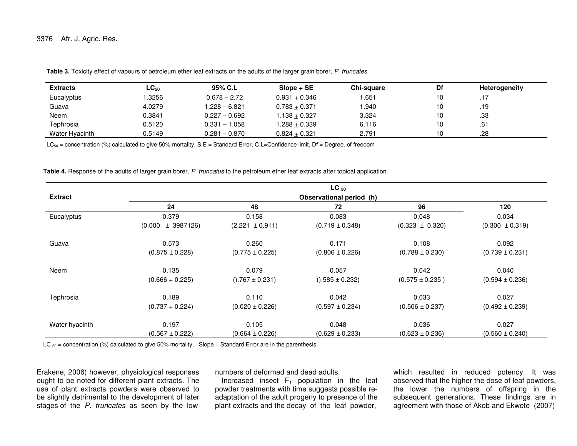| <b>Extracts</b> | $\mathsf{LC}_{50}$ | 95% C.L         | $Slope + SE$      | Chi-sauare | Df | <b>Heterogeneity</b> |
|-----------------|--------------------|-----------------|-------------------|------------|----|----------------------|
| Eucalyptus      | .3256              | $0.678 - 2.72$  | $0.931 + 0.346$   | .651       |    |                      |
| Guava           | 4.0279             | 1.228 – 6.821   | $0.783 + 0.371$   | .940       |    | .19                  |
| Neem            | 0.3841             | $0.227 - 0.692$ | $.138 + 0.327$    | 3.324      |    | .33                  |
| Tephrosia       | 0.5120             | $0.331 - 1.058$ | $1.288 + 0.339$   | 6.116      |    | .61                  |
| Water Hyacinth  | 0.5149             | $0.281 - 0.870$ | $0.824 \pm 0.321$ | 2.791      |    | .28                  |

**Table 3.** Toxicity effect of vapours of petroleum ether leaf extracts on the adults of the larger grain borer, *P. truncates.*

LC $_{50}$  = concentration (%) calculated to give 50% mortality, S.E = Standard Error, C.L=Confidence limit, Df = Degree. of freedom

**Table 4.** Response of the adults of larger grain borer, *P. truncatus* to the petroleum ether leaf extracts after topical application.

|                |                          |                     | $LC_{50}$           |                     |                     |  |  |
|----------------|--------------------------|---------------------|---------------------|---------------------|---------------------|--|--|
| <b>Extract</b> | Observational period (h) |                     |                     |                     |                     |  |  |
|                | 24                       | 48                  | 72                  | 96                  | 120                 |  |  |
| Eucalyptus     | 0.379                    | 0.158               | 0.083               | 0.048               | 0.034               |  |  |
|                | $(0.000 \pm 3987126)$    | $(2.221 \pm 0.911)$ | $(0.719 \pm 0.348)$ | $(0.323 \pm 0.320)$ | $(0.300 \pm 0.319)$ |  |  |
| Guava          | 0.573                    | 0.260               | 0.171               | 0.108               | 0.092               |  |  |
|                | $(0.875 \pm 0.228)$      | $(0.775 \pm 0.225)$ | $(0.806 \pm 0.226)$ | $(0.788 \pm 0.230)$ | $(0.739 \pm 0.231)$ |  |  |
| Neem           | 0.135                    | 0.079               | 0.057               | 0.042               | 0.040               |  |  |
|                | $(0.666 + 0.225)$        | $($ .767 ± 0.231)   | $(0.585 \pm 0.232)$ | $(0.575 \pm 0.235)$ | $(0.594 \pm 0.236)$ |  |  |
| Tephrosia      | 0.189                    | 0.110               | 0.042               | 0.033               | 0.027               |  |  |
|                | $(0.737 + 0.224)$        | $(0.020 \pm 0.226)$ | $(0.597 \pm 0.234)$ | $(0.506 \pm 0.237)$ | $(0.492 \pm 0.239)$ |  |  |
| Water hyacinth | 0.197                    | 0.105               | 0.048               | 0.036               | 0.027               |  |  |
|                | $(0.567 \pm 0.222)$      | $(0.664 \pm 0.226)$ | $(0.629 \pm 0.233)$ | $(0.623 \pm 0.236)$ | $(0.560 \pm 0.240)$ |  |  |

LC  $_{50}$  = concentration (%) calculated to give 50% mortality, Slope + Standard Error are in the parenthesis.

Erakene, 2006) however, physiological responses ought to be noted for different plant extracts. The use of plant extracts powders were observed to be slightly detrimental to the development of later stages of the *P. truncates* as seen by the low

numbers of deformed and dead adults.

Increased insect  $\mathsf{F}_1$  population in the leaf powder treatments with time suggests possible readaptation of the adult progeny to presence of the plant extracts and the decay of the leaf powder,

which resulted in reduced potency. It was observed that the higher the dose of leaf powders, the lower the numbers of offspring in the subsequent generations. These findings are in agreement with those of Akob and Ekwete (2007)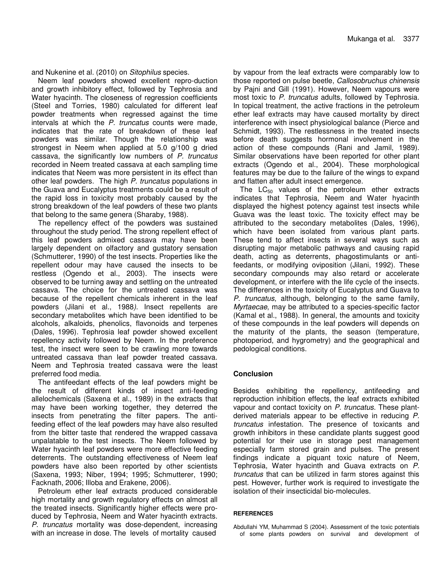and Nukenine et al. (2010) on *Sitophilus* species.

Neem leaf powders showed excellent repro-duction and growth inhibitory effect, followed by Tephrosia and Water hyacinth. The closeness of regression coefficients (Steel and Torries, 1980) calculated for different leaf powder treatments when regressed against the time intervals at which the *P. truncatus* counts were made, indicates that the rate of breakdown of these leaf powders was similar. Though the relationship was strongest in Neem when applied at 5.0 g/100 g dried cassava, the significantly low numbers of *P. truncatus* recorded in Neem treated cassava at each sampling time indicates that Neem was more persistent in its effect than other leaf powders. The high *P. truncatus* populations in the Guava and Eucalyptus treatments could be a result of the rapid loss in toxicity most probably caused by the strong breakdown of the leaf powders of these two plants that belong to the same genera (Sharaby, 1988).

The repellency effect of the powders was sustained throughout the study period. The strong repellent effect of this leaf powders admixed cassava may have been largely dependent on olfactory and gustatory sensation (Schmutterer, 1990) of the test insects. Properties like the repellent odour may have caused the insects to be restless (Ogendo et al., 2003). The insects were observed to be turning away and settling on the untreated cassava. The choice for the untreated cassava was because of the repellent chemicals inherent in the leaf powders (Jilani et al., 1988*)*. Insect repellents are secondary metabolites which have been identified to be alcohols, alkaloids, phenolics, flavonoids and terpenes (Dales, 1996). Tephrosia leaf powder showed excellent repellency activity followed by Neem. In the preference test, the insect were seen to be crawling more towards untreated cassava than leaf powder treated cassava. Neem and Tephrosia treated cassava were the least preferred food media.

The antifeedant effects of the leaf powders might be the result of different kinds of insect anti-feeding allelochemicals (Saxena et al., 1989) in the extracts that may have been working together, they deterred the insects from penetrating the filter papers. The antifeeding effect of the leaf powders may have also resulted from the bitter taste that rendered the wrapped cassava unpalatable to the test insects. The Neem followed by Water hyacinth leaf powders were more effective feeding deterrents. The outstanding effectiveness of Neem leaf powders have also been reported by other scientists (Saxena, 1993; Niber, 1994; 1995; Schmutterer, 1990; Facknath, 2006; Illoba and Erakene, 2006).

Petroleum ether leaf extracts produced considerable high mortality and growth regulatory effects on almost all the treated insects. Significantly higher effects were produced by Tephrosia, Neem and Water hyacinth extracts. *P. truncatus* mortality was dose-dependent, increasing with an increase in dose. The levels of mortality caused

by vapour from the leaf extracts were comparably low to those reported on pulse beetle, *Callosobruchus chinensis* by Pajni and Gill (1991). However, Neem vapours were most toxic to *P. truncatus* adults, followed by Tephrosia. In topical treatment, the active fractions in the petroleum ether leaf extracts may have caused mortality by direct interference with insect physiological balance (Pierce and Schmidt, 1993). The restlessness in the treated insects before death suggests hormonal involvement in the action of these compounds (Rani and Jamil, 1989). Similar observations have been reported for other plant extracts (Ogendo et al., 2004). These morphological features may be due to the failure of the wings to expand and flatten after adult insect emergence.

The  $LC_{50}$  values of the petroleum ether extracts indicates that Tephrosia, Neem and Water hyacinth displayed the highest potency against test insects while Guava was the least toxic. The toxicity effect may be attributed to the secondary metabolites (Dales, 1996), which have been isolated from various plant parts. These tend to affect insects in several ways such as disrupting major metabolic pathways and causing rapid death, acting as deterrents, phagostimulants or antifeedants, or modifying oviposition (Jilani, 1992). These secondary compounds may also retard or accelerate development, or interfere with the life cycle of the insects. The differences in the toxicity of Eucalyptus and Guava to *P. truncatus*, although, belonging to the same family, *Myrtaecae*, may be attributed to a species-specific factor (Kamal et al., 1988). In general, the amounts and toxicity of these compounds in the leaf powders will depends on the maturity of the plants, the season (temperature, photoperiod, and hygrometry) and the geographical and pedological conditions.

# **Conclusion**

Besides exhibiting the repellency, antifeeding and reproduction inhibition effects, the leaf extracts exhibited vapour and contact toxicity on *P. truncatus*. These plantderived materials appear to be effective in reducing *P. truncatus* infestation. The presence of toxicants and growth inhibitors in these candidate plants suggest good potential for their use in storage pest management especially farm stored grain and pulses. The present findings indicate a piquant toxic nature of Neem, Tephrosia, Water hyacinth and Guava extracts on *P. truncatus* that can be utilized in farm stores against this pest. However, further work is required to investigate the isolation of their insecticidal bio-molecules.

## **REFERENCES**

Abdullahi YM, Muhammad S (2004). Assessment of the toxic potentials of some plants powders on survival and development of